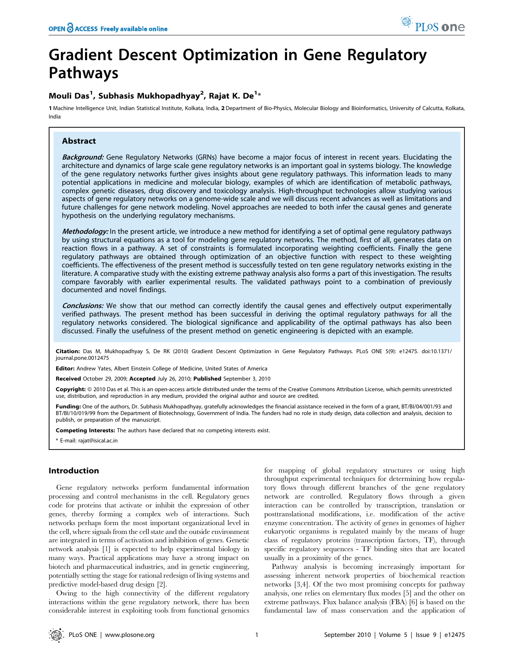# Gradient Descent Optimization in Gene Regulatory Pathways

## Mouli Das<sup>1</sup>, Subhasis Mukhopadhyay<sup>2</sup>, Rajat K. De<sup>1</sup>\*

1 Machine Intelligence Unit, Indian Statistical Institute, Kolkata, India, 2 Department of Bio-Physics, Molecular Biology and Bioinformatics, University of Calcutta, Kolkata, India

## Abstract

Background: Gene Regulatory Networks (GRNs) have become a major focus of interest in recent years. Elucidating the architecture and dynamics of large scale gene regulatory networks is an important goal in systems biology. The knowledge of the gene regulatory networks further gives insights about gene regulatory pathways. This information leads to many potential applications in medicine and molecular biology, examples of which are identification of metabolic pathways, complex genetic diseases, drug discovery and toxicology analysis. High-throughput technologies allow studying various aspects of gene regulatory networks on a genome-wide scale and we will discuss recent advances as well as limitations and future challenges for gene network modeling. Novel approaches are needed to both infer the causal genes and generate hypothesis on the underlying regulatory mechanisms.

Methodology: In the present article, we introduce a new method for identifying a set of optimal gene regulatory pathways by using structural equations as a tool for modeling gene regulatory networks. The method, first of all, generates data on reaction flows in a pathway. A set of constraints is formulated incorporating weighting coefficients. Finally the gene regulatory pathways are obtained through optimization of an objective function with respect to these weighting coefficients. The effectiveness of the present method is successfully tested on ten gene regulatory networks existing in the literature. A comparative study with the existing extreme pathway analysis also forms a part of this investigation. The results compare favorably with earlier experimental results. The validated pathways point to a combination of previously documented and novel findings.

Conclusions: We show that our method can correctly identify the causal genes and effectively output experimentally verified pathways. The present method has been successful in deriving the optimal regulatory pathways for all the regulatory networks considered. The biological significance and applicability of the optimal pathways has also been discussed. Finally the usefulness of the present method on genetic engineering is depicted with an example.

Citation: Das M, Mukhopadhyay S, De RK (2010) Gradient Descent Optimization in Gene Regulatory Pathways. PLoS ONE 5(9): e12475. doi:10.1371/ journal.pone.0012475

Editor: Andrew Yates, Albert Einstein College of Medicine, United States of America

Received October 29, 2009; Accepted July 26, 2010; Published September 3, 2010

Copyright: © 2010 Das et al. This is an open-access article distributed under the terms of the Creative Commons Attribution License, which permits unrestricted use, distribution, and reproduction in any medium, provided the original author and source are credited.

Funding: One of the authors, Dr. Subhasis Mukhopadhyay, gratefully acknowledges the financial assistance received in the form of a grant, BT/BI/04/001/93 and BT/BI/10/019/99 from the Department of Biotechnology, Government of India. The funders had no role in study design, data collection and analysis, decision to publish, or preparation of the manuscript.

Competing Interests: The authors have declared that no competing interests exist.

## Introduction

Gene regulatory networks perform fundamental information processing and control mechanisms in the cell. Regulatory genes code for proteins that activate or inhibit the expression of other genes, thereby forming a complex web of interactions. Such networks perhaps form the most important organizational level in the cell, where signals from the cell state and the outside environment are integrated in terms of activation and inhibition of genes. Genetic network analysis [1] is expected to help experimental biology in many ways. Practical applications may have a strong impact on biotech and pharmaceutical industries, and in genetic engineering, potentially setting the stage for rational redesign of living systems and predictive model-based drug design [2].

Owing to the high connectivity of the different regulatory interactions within the gene regulatory network, there has been considerable interest in exploiting tools from functional genomics

for mapping of global regulatory structures or using high throughput experimental techniques for determining how regulatory flows through different branches of the gene regulatory network are controlled. Regulatory flows through a given interaction can be controlled by transcription, translation or posttranslational modifications, i.e. modification of the active enzyme concentration. The activity of genes in genomes of higher eukaryotic organisms is regulated mainly by the means of huge class of regulatory proteins (transcription factors, TF), through specific regulatory sequences - TF binding sites that are located usually in a proximity of the genes.

Pathway analysis is becoming increasingly important for assessing inherent network properties of biochemical reaction networks [3,4]. Of the two most promising concepts for pathway analysis, one relies on elementary flux modes [5] and the other on extreme pathways. Flux balance analysis (FBA) [6] is based on the fundamental law of mass conservation and the application of

<sup>\*</sup> E-mail: rajat@isical.ac.in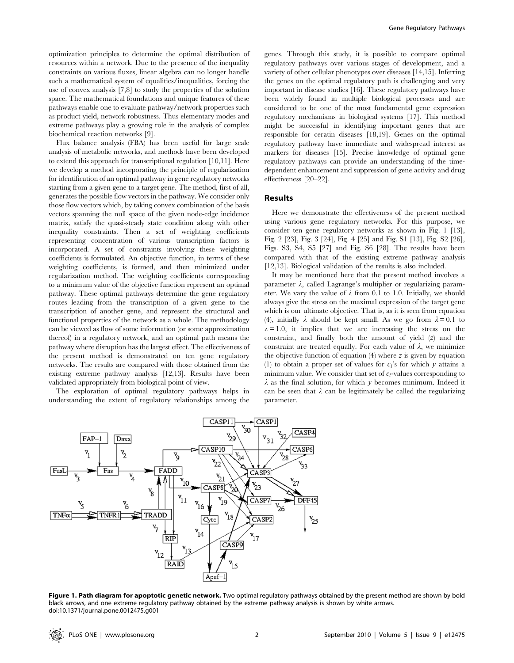optimization principles to determine the optimal distribution of resources within a network. Due to the presence of the inequality constraints on various fluxes, linear algebra can no longer handle such a mathematical system of equalities/inequalities, forcing the use of convex analysis [7,8] to study the properties of the solution space. The mathematical foundations and unique features of these pathways enable one to evaluate pathway/network properties such as product yield, network robustness. Thus elementary modes and extreme pathways play a growing role in the analysis of complex biochemical reaction networks [9].

Flux balance analysis (FBA) has been useful for large scale analysis of metabolic networks, and methods have been developed to extend this approach for transcriptional regulation [10,11]. Here we develop a method incorporating the principle of regularization for identification of an optimal pathway in gene regulatory networks starting from a given gene to a target gene. The method, first of all, generates the possible flow vectors in the pathway. We consider only those flow vectors which, by taking convex combination of the basis vectors spanning the null space of the given node-edge incidence matrix, satisfy the quasi-steady state condition along with other inequality constraints. Then a set of weighting coefficients representing concentration of various transcription factors is incorporated. A set of constraints involving these weighting coefficients is formulated. An objective function, in terms of these weighting coefficients, is formed, and then minimized under regularization method. The weighting coefficients corresponding to a minimum value of the objective function represent an optimal pathway. These optimal pathways determine the gene regulatory routes leading from the transcription of a given gene to the transcription of another gene, and represent the structural and functional properties of the network as a whole. The methodology can be viewed as flow of some information (or some approximation thereof) in a regulatory network, and an optimal path means the pathway where disruption has the largest effect. The effectiveness of the present method is demonstrated on ten gene regulatory networks. The results are compared with those obtained from the existing extreme pathway analysis [12,13]. Results have been validated appropriately from biological point of view.

The exploration of optimal regulatory pathways helps in understanding the extent of regulatory relationships among the

genes. Through this study, it is possible to compare optimal regulatory pathways over various stages of development, and a variety of other cellular phenotypes over diseases [14,15]. Inferring the genes on the optimal regulatory path is challenging and very important in disease studies [16]. These regulatory pathways have been widely found in multiple biological processes and are considered to be one of the most fundamental gene expression regulatory mechanisms in biological systems [17]. This method might be successful in identifying important genes that are responsible for ceratin diseases [18,19]. Genes on the optimal regulatory pathway have immediate and widespread interest as markers for diseases [15]. Precise knowledge of optimal gene regulatory pathways can provide an understanding of the timedependent enhancement and suppression of gene activity and drug effectiveness [20–22].

## Results

Here we demonstrate the effectiveness of the present method using various gene regulatory networks. For this purpose, we consider ten gene regulatory networks as shown in Fig. 1 [13], Fig. 2 [23], Fig. 3 [24], Fig. 4 [25] and Fig. S1 [13], Fig. S2 [26], Figs. S3, S4, S5 [27] and Fig. S6 [28]. The results have been compared with that of the existing extreme pathway analysis [12,13]. Biological validation of the results is also included.

It may be mentioned here that the present method involves a parameter  $\lambda$ , called Lagrange's multiplier or regularizing parameter. We vary the value of  $\lambda$  from 0.1 to 1.0. Initially, we should always give the stress on the maximal expression of the target gene which is our ultimate objective. That is, as it is seen from equation (4), initially  $\lambda$  should be kept small. As we go from  $\lambda = 0.1$  to  $\lambda = 1.0$ , it implies that we are increasing the stress on the constraint, and finally both the amount of yield (z) and the constraint are treated equally. For each value of  $\lambda$ , we minimize the objective function of equation  $(4)$  where z is given by equation (1) to obtain a proper set of values for  $c_i$ 's for which y attains a minimum value. We consider that set of  $c_i$ -values corresponding to  $\lambda$  as the final solution, for which  $\nu$  becomes minimum. Indeed it can be seen that  $\lambda$  can be legitimately be called the regularizing parameter.



Figure 1. Path diagram for apoptotic genetic network. Two optimal regulatory pathways obtained by the present method are shown by bold black arrows, and one extreme regulatory pathway obtained by the extreme pathway analysis is shown by white arrows. doi:10.1371/journal.pone.0012475.g001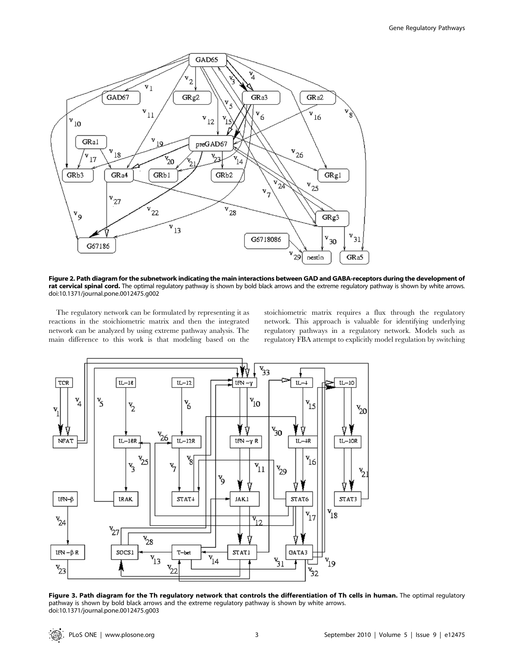

Figure 2. Path diagram for the subnetwork indicating the main interactions between GAD and GABA-receptors during the development of rat cervical spinal cord. The optimal regulatory pathway is shown by bold black arrows and the extreme regulatory pathway is shown by white arrows. doi:10.1371/journal.pone.0012475.g002

The regulatory network can be formulated by representing it as reactions in the stoichiometric matrix and then the integrated network can be analyzed by using extreme pathway analysis. The main difference to this work is that modeling based on the stoichiometric matrix requires a flux through the regulatory network. This approach is valuable for identifying underlying regulatory pathways in a regulatory network. Models such as regulatory FBA attempt to explicitly model regulation by switching



Figure 3. Path diagram for the Th regulatory network that controls the differentiation of Th cells in human. The optimal regulatory pathway is shown by bold black arrows and the extreme regulatory pathway is shown by white arrows. doi:10.1371/journal.pone.0012475.g003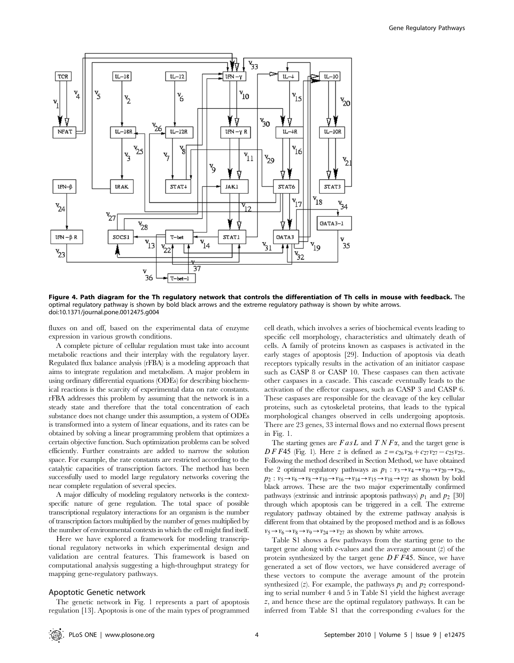

Figure 4. Path diagram for the Th regulatory network that controls the differentiation of Th cells in mouse with feedback. The optimal regulatory pathway is shown by bold black arrows and the extreme regulatory pathway is shown by white arrows. doi:10.1371/journal.pone.0012475.g004

fluxes on and off, based on the experimental data of enzyme expression in various growth conditions.

A complete picture of cellular regulation must take into account metabolic reactions and their interplay with the regulatory layer. Regulated flux balance analysis (rFBA) is a modeling approach that aims to integrate regulation and metabolism. A major problem in using ordinary differential equations (ODEs) for describing biochemical reactions is the scarcity of experimental data on rate constants. rFBA addresses this problem by assuming that the network is in a steady state and therefore that the total concentration of each substance does not change under this assumption, a system of ODEs is transformed into a system of linear equations, and its rates can be obtained by solving a linear programming problem that optimizes a certain objective function. Such optimization problems can be solved efficiently. Further constraints are added to narrow the solution space. For example, the rate constants are restricted according to the catalytic capacities of transcription factors. The method has been successfully used to model large regulatory networks covering the near complete regulation of several species.

A major difficulty of modeling regulatory networks is the contextspecific nature of gene regulation. The total space of possible transcriptional regulatory interactions for an organism is the number of transcription factors multiplied by the number of genes multiplied by the number of environmental contexts in which the cell might find itself.

Here we have explored a framework for modeling transcriptional regulatory networks in which experimental design and validation are central features. This framework is based on computational analysis suggesting a high-throughput strategy for mapping gene-regulatory pathways.

#### Apoptotic Genetic network

The genetic network in Fig. 1 represents a part of apoptosis regulation [13]. Apoptosis is one of the main types of programmed cell death, which involves a series of biochemical events leading to specific cell morphology, characteristics and ultimately death of cells. A family of proteins known as caspases is activated in the early stages of apoptosis [29]. Induction of apoptosis via death receptors typically results in the activation of an initiator caspase such as CASP 8 or CASP 10. These caspases can then activate other caspases in a cascade. This cascade eventually leads to the activation of the effector caspases, such as CASP 3 and CASP 6. These caspases are responsible for the cleavage of the key cellular proteins, such as cytoskeletal proteins, that leads to the typical morphological changes observed in cells undergoing apoptosis. There are 23 genes, 33 internal flows and no external flows present in Fig. 1.

The starting genes are  $F \, as \, L$  and  $T \, N \, F \alpha$ , and the target gene is DFF45 (Fig. 1). Here z is defined as  $z = c_{26}v_{26} + c_{27}v_{27} - c_{25}v_{25}$ . Following the method described in Section Method, we have obtained the 2 optimal regulatory pathways as  $p_1 : v_3 \rightarrow v_4 \rightarrow v_{10} \rightarrow v_{20} \rightarrow v_{26}$ ,  $p_2 : v_5 \rightarrow v_6 \rightarrow v_8 \rightarrow v_{10} \rightarrow v_{16} \rightarrow v_{14} \rightarrow v_{15} \rightarrow v_{18} \rightarrow v_{27}$  as shown by bold black arrows. These are the two major experimentally confirmed pathways (extrinsic and intrinsic apoptosis pathways)  $p_1$  and  $p_2$  [30] through which apoptosis can be triggered in a cell. The extreme regulatory pathway obtained by the extreme pathway analysis is different from that obtained by the proposed method and is as follows  $v_5 \rightarrow v_6 \rightarrow v_8 \rightarrow v_9 \rightarrow v_{24} \rightarrow v_{27}$  as shown by white arrows.

Table S1 shows a few pathways from the starting gene to the target gene along with  $c$ -values and the average amount  $(z)$  of the protein synthesized by the target gene  $DFF45$ . Since, we have generated a set of flow vectors, we have considered average of these vectors to compute the average amount of the protein synthesized (z). For example, the pathways  $p_1$  and  $p_2$  corresponding to serial number 4 and 5 in Table S1 yield the highest average z, and hence these are the optimal regulatory pathways. It can be inferred from Table S1 that the corresponding  $c$ -values for the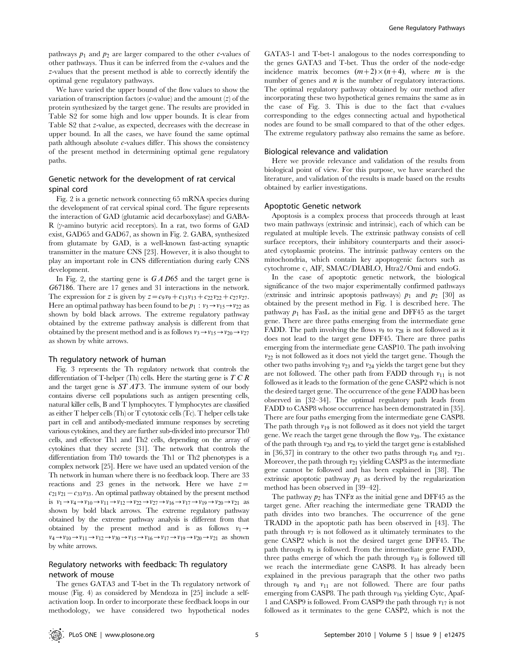pathways  $p_1$  and  $p_2$  are larger compared to the other c-values of other pathways. Thus it can be inferred from the c-values and the z-values that the present method is able to correctly identify the optimal gene regulatory pathways.

We have varied the upper bound of the flow values to show the variation of transcription factors  $(c$ -value) and the amount  $(z)$  of the protein synthesized by the target gene. The results are provided in Table S2 for some high and low upper bounds. It is clear from Table S2 that z-value, as expected, decreases with the decrease in upper bound. In all the cases, we have found the same optimal path although absolute  $c$ -values differ. This shows the consistency of the present method in determining optimal gene regulatory paths.

## Genetic network for the development of rat cervical spinal cord

Fig. 2 is a genetic network connecting 65 mRNA species during the development of rat cervical spinal cord. The figure represents the interaction of GAD (glutamic acid decarboxylase) and GABA- $R$  (*v*-amino butyric acid receptors). In a rat, two forms of GAD exist, GAD65 and GAD67, as shown in Fig. 2. GABA, synthesized from glutamate by GAD, is a well-known fast-acting synaptic transmitter in the mature CNS [23]. However, it is also thought to play an important role in CNS differentiation during early CNS development.

In Fig. 2, the starting gene is  $GAD65$  and the target gene is G67186. There are 17 genes and 31 interactions in the network. The expression for z is given by  $z = c_9v_9 + c_{13}v_{13} + c_{22}v_{22} + c_{27}v_{27}$ . Here an optimal pathway has been found to be  $p_1 : v_3 \rightarrow v_{15} \rightarrow v_{22}$  as shown by bold black arrows. The extreme regulatory pathway obtained by the extreme pathway analysis is different from that obtained by the present method and is as follows  $v_3 \rightarrow v_{15} \rightarrow v_{20} \rightarrow v_{27}$ as shown by white arrows.

#### Th regulatory network of human

Fig. 3 represents the Th regulatory network that controls the differentiation of T-helper (Th) cells. Here the starting gene is  $TCR$ and the target gene is ST AT3. The immune system of our body contains diverse cell populations such as antigen presenting cells, natural killer cells, B and T lymphocytes. T lymphocytes are classified as either T helper cells (Th) or T cytotoxic cells (Tc). T helper cells take part in cell and antibody-mediated immune responses by secreting various cytokines, and they are further sub-divided into precursor Th0 cells, and effector Th1 and Th2 cells, depending on the array of cytokines that they secrete [31]. The network that controls the differentiation from Th0 towards the Th1 or Th2 phenotypes is a complex network [25]. Here we have used an updated version of the Th network in human where there is no feedback loop. There are 33 reactions and 23 genes in the network. Here we have  $z=$  $c_{21}v_{21}-c_{33}v_{33}$ . An optimal pathway obtained by the present method is  $v_1 \rightarrow v_4 \rightarrow v_{10} \rightarrow v_{11} \rightarrow v_{12} \rightarrow v_{22} \rightarrow v_{27} \rightarrow v_{16} \rightarrow v_{17} \rightarrow v_{19} \rightarrow v_{20} \rightarrow v_{21}$  as shown by bold black arrows. The extreme regulatory pathway obtained by the extreme pathway analysis is different from that obtained by the present method and is as follows  $v_1 \rightarrow$  $v_4 \rightarrow v_{10} \rightarrow v_{11} \rightarrow v_{12} \rightarrow v_{30} \rightarrow v_{15} \rightarrow v_{16} \rightarrow v_{17} \rightarrow v_{19} \rightarrow v_{20} \rightarrow v_{21}$  as shown by white arrows.

## Regulatory networks with feedback: Th regulatory network of mouse

The genes GATA3 and T-bet in the Th regulatory network of mouse (Fig. 4) as considered by Mendoza in [25] include a selfactivation loop. In order to incorporate these feedback loops in our methodology, we have considered two hypothetical nodes

GATA3-1 and T-bet-1 analogous to the nodes corresponding to the genes GATA3 and T-bet. Thus the order of the node-edge incidence matrix becomes  $(m+2) \times (n+4)$ , where m is the number of genes and  $n$  is the number of regulatory interactions. The optimal regulatory pathway obtained by our method after incorporating these two hypothetical genes remains the same as in the case of Fig. 3. This is due to the fact that  $c$ -values corresponding to the edges connecting actual and hypothetical nodes are found to be small compared to that of the other edges. The extreme regulatory pathway also remains the same as before.

#### Biological relevance and validation

Here we provide relevance and validation of the results from biological point of view. For this purpose, we have searched the literature, and validation of the results is made based on the results obtained by earlier investigations.

#### Apoptotic Genetic network

Apoptosis is a complex process that proceeds through at least two main pathways (extrinsic and intrinsic), each of which can be regulated at multiple levels. The extrinsic pathway consists of cell surface receptors, their inhibitory counterparts and their associated cytoplasmic proteins. The intrinsic pathway centers on the mitochondria, which contain key apoptogenic factors such as cytochrome c, AIF, SMAC/DIABLO, Htra2/Omi and endoG.

In the case of apoptotic genetic network, the biological significance of the two major experimentally confirmed pathways (extrinsic and intrinsic apoptosis pathways)  $p_1$  and  $p_2$  [30] as obtained by the present method in Fig. 1 is described here. The pathway  $p_1$  has FasL as the initial gene and DFF45 as the target gene. There are three paths emerging from the intermediate gene FADD. The path involving the flows  $v_9$  to  $v_{28}$  is not followed as it does not lead to the target gene DFF45. There are three paths emerging from the intermediate gene CASP10. The path involving  $v_{22}$  is not followed as it does not yield the target gene. Though the other two paths involving  $v_{23}$  and  $v_{24}$  yields the target gene but they are not followed. The other path from FADD through  $v_{11}$  is not followed as it leads to the formation of the gene CASP2 which is not the desired target gene. The occurrence of the gene FADD has been observed in [32–34]. The optimal regulatory path leads from FADD to CASP8 whose occurrence has been demonstrated in [35]. There are four paths emerging from the intermediate gene CASP8. The path through  $v_{19}$  is not followed as it does not yield the target gene. We reach the target gene through the flow  $v_{20}$ . The existance of the path through  $v_{20}$  and  $v_{26}$  to yield the target gene is established in [36,37] in contrary to the other two paths through  $v_{16}$  and  $v_{21}$ . Moreover, the path through  $v_{21}$  yielding CASP3 as the intermediate gene cannot be followed and has been explained in [38]. The extrinsic apoptotic pathway  $p_1$  as derived by the regularization method has been observed in [39–42].

The pathway  $p_2$  has TNF $\alpha$  as the initial gene and DFF45 as the target gene. After reaching the intermediate gene TRADD the path divides into two branches. The occurrence of the gene TRADD in the apoptotic path has been observed in [43]. The path through  $v_7$  is not followed as it ultimately terminates to the gene CASP2 which is not the desired target gene DFF45. The path through  $v_8$  is followed. From the intermediate gene FADD, three paths emerge of which the path through  $v_{10}$  is followed till we reach the intermediate gene CASP8. It has already been explained in the previous paragraph that the other two paths through  $v_9$  and  $v_{11}$  are not followed. There are four paths emerging from CASP8. The path through  $v_{16}$  yielding Cytc, Apaf-1 and CASP9 is followed. From CASP9 the path through  $v_{17}$  is not followed as it terminates to the gene CASP2, which is not the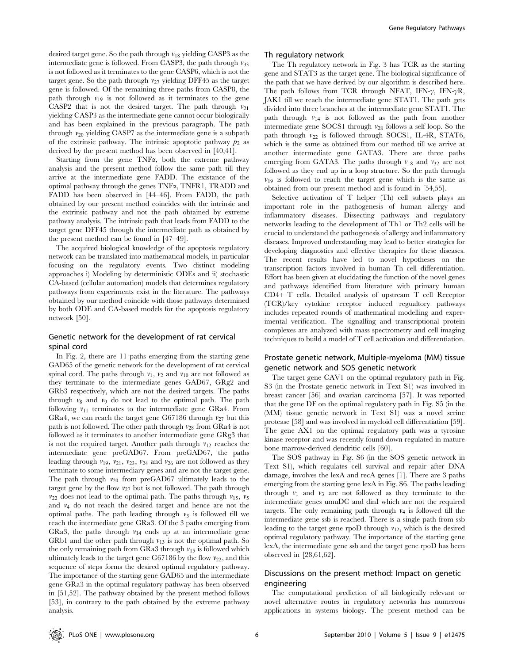desired target gene. So the path through  $v_{18}$  yielding CASP3 as the intermediate gene is followed. From CASP3, the path through  $v_{33}$ is not followed as it terminates to the gene CASP6, which is not the target gene. So the path through  $v_{27}$  yielding DFF45 as the target gene is followed. Of the remaining three paths from CASP8, the path through  $v_{19}$  is not followed as it terminates to the gene CASP2 that is not the desired target. The path through  $v_{21}$ yielding CASP3 as the intermediate gene cannot occur biologically and has been explained in the previous paragraph. The path through  $v_{20}$  yielding CASP7 as the intermediate gene is a subpath of the extrinsic pathway. The intrinsic apoptotic pathway  $p_2$  as derived by the present method has been observed in [40,41].

Starting from the gene TNFa, both the extreme pathway analysis and the present method follow the same path till they arrive at the intermediate gene FADD. The existance of the optimal pathway through the genes TNFa, TNFR1, TRADD and FADD has been observed in [44–46]. From FADD, the path obtained by our present method coincides with the intrinsic and the extrinsic pathway and not the path obtained by extreme pathway analysis. The intrinsic path that leads from FADD to the target gene DFF45 through the intermediate path as obtained by the present method can be found in [47–49].

The acquired biological knowledge of the apoptosis regulatory network can be translated into mathematical models, in particular focusing on the regulatory events. Two distinct modeling approaches i) Modeling by deterministic ODEs and ii) stochastic CA-based (cellular automation) models that determines regulatory pathways from experiments exist in the literature. The pathways obtained by our method coincide with those pathways determined by both ODE and CA-based models for the apoptosis regulatory network [50].

## Genetic network for the development of rat cervical spinal cord

In Fig. 2, there are 11 paths emerging from the starting gene GAD65 of the genetic network for the development of rat cervical spinal cord. The paths through  $v_1$ ,  $v_2$  and  $v_{10}$  are not followed as they terminate to the intermediate genes GAD67, GRg2 and GRb3 respectively, which are not the desired targets. The paths through  $v_8$  and  $v_9$  do not lead to the optimal path. The path following  $v_{11}$  terminates to the intermediate gene GRa4. From GRa4, we can reach the target gene G67186 through  $v_{27}$  but this path is not followed. The other path through  $v_{28}$  from GRa4 is not followed as it terminates to another intermediate gene GRg3 that is not the required target. Another path through  $v_{12}$  reaches the intermediate gene preGAD67. From preGAD67, the paths leading through  $v_1$ ,  $v_2$ ,  $v_2$ ,  $v_2$ ,  $v_2$  and  $v_2$  are not followed as they terminate to some intermediary genes and are not the target gene. The path through  $v_{20}$  from preGAD67 ultimately leads to the target gene by the flow  $v_{27}$  but is not followed. The path through  $v_{22}$  does not lead to the optimal path. The paths through  $v_{15}$ ,  $v_5$ and  $v_4$  do not reach the desired target and hence are not the optimal paths. The path leading through  $v_3$  is followed till we reach the intermediate gene GRa3. Of the 3 paths emerging from GRa3, the paths through  $v_{14}$  ends up at an intermediate gene GRb1 and the other path through  $v_{13}$  is not the optimal path. So the only remaining path from GRa3 through  $v_{15}$  is followed which ultimately leads to the target gene G67186 by the flow  $v_{22}$ , and this sequence of steps forms the desired optimal regulatory pathway. The importance of the starting gene GAD65 and the intermediate gene GRa3 in the optimal regulatory pathway has been observed in [51,52]. The pathway obtained by the present method follows [53], in contrary to the path obtained by the extreme pathway analysis.

#### Th regulatory network

The Th regulatory network in Fig. 3 has TCR as the starting gene and STAT3 as the target gene. The biological significance of the path that we have derived by our algorithm is described here. The path follows from TCR through NFAT, IFN- $\gamma$ , IFN- $\gamma$ R, JAK1 till we reach the intermediate gene STAT1. The path gets divided into three branches at the intermediate gene STAT1. The path through  $v_{14}$  is not followed as the path from another intermediate gene SOCS1 through v<sup>28</sup> follows a self loop. So the path through  $v_{22}$  is followed through SOCS1, IL-4R, STAT6, which is the same as obtained from our method till we arrive at another intermediate gene GATA3. There are three paths emerging from GATA3. The paths through  $v_{18}$  and  $v_{32}$  are not followed as they end up in a loop structure. So the path through  $v_{19}$  is followed to reach the target gene which is the same as obtained from our present method and is found in [54,55].

Selective activation of T helper (Th) cell subsets plays an important role in the pathogenesis of human allergy and inflammatory diseases. Dissecting pathways and regulatory networks leading to the development of Th1 or Th2 cells will be crucial to understand the pathogenesis of allergy and inflammatory diseases. Improved understanding may lead to better strategies for developing diagnostics and effective therapies for these diseases. The recent results have led to novel hypotheses on the transcription factors involved in human Th cell differentiation. Effort has been given at elucidating the function of the novel genes and pathways identified from literature with primary human CD4+ T cells. Detailed analysis of upstream T cell Receptor (TCR)/key cytokine receptor induced regualtory pathways includes repeated rounds of mathematical modelling and experimental verification. The signalling and transcriptional protein complexes are analyzed with mass spectrometry and cell imaging techniques to build a model of T cell activation and differentiation.

## Prostate genetic network, Multiple-myeloma (MM) tissue genetic network and SOS genetic network

The target gene CAV1 on the optimal regulatory path in Fig. S3 (in the Prostate genetic network in Text S1) was involved in breast cancer [56] and ovarian carcinoma [57]. It was reported that the gene DF on the optimal regulatory path in Fig. S5 (in the (MM) tissue genetic network in Text S1) was a novel serine protease [58] and was involved in myeloid cell differentiation [59]. The gene AX1 on the optimal regulatory path was a tyrosine kinase receptor and was recently found down regulated in mature bone marrow-derived dendritic cells [60].

The SOS pathway in Fig. S6 (in the SOS genetic network in Text S1), which regulates cell survival and repair after DNA damage, involves the lexA and recA genes [1]. There are 3 paths emerging from the starting gene lexA in Fig. S6. The paths leading through  $v_1$  and  $v_3$  are not followed as they terminate to the intermediate genes umuDC and dinI which are not the required targets. The only remaining path through  $v_4$  is followed till the intermediate gene ssb is reached. There is a single path from ssb leading to the target gene rpoD through  $v_1$ , which is the desired optimal regulatory pathway. The importance of the starting gene lexA, the intermediate gene ssb and the target gene rpoD has been observed in [28,61,62].

## Discussions on the present method: Impact on genetic engineering

The computational prediction of all biologically relevant or novel alternative routes in regulatory networks has numerous applications in systems biology. The present method can be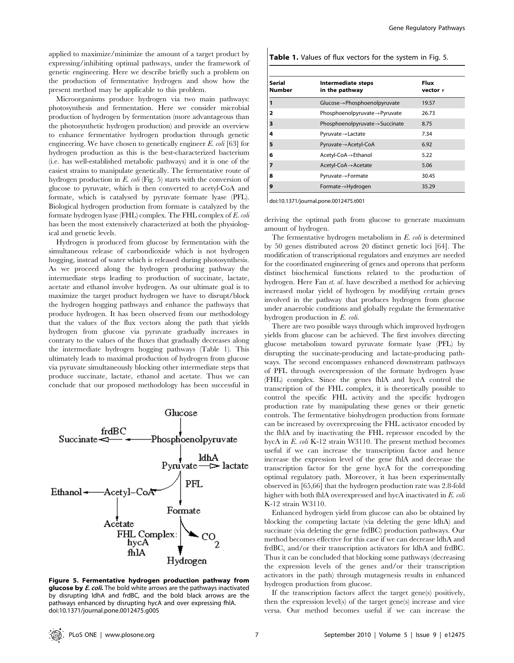applied to maximize/minimize the amount of a target product by expressing/inhibiting optimal pathways, under the framework of genetic engineering. Here we describe briefly such a problem on the production of fermentative hydrogen and show how the present method may be applicable to this problem.

Microorganisms produce hydrogen via two main pathways: photosynthesis and fermentation. Here we consider microbial production of hydrogen by fermentation (more advantageous than the photosynthetic hydrogen production) and provide an overview to enhance fermentative hydrogen production through genetic engineering. We have chosen to genetically engineer E. coli [63] for hydrogen production as this is the best-characterized bacterium (i.e. has well-established metabolic pathways) and it is one of the easiest strains to manipulate genetically. The fermentative route of hydrogen production in E. coli (Fig. 5) starts with the conversion of glucose to pyruvate, which is then converted to acetyl-CoA and formate, which is catalysed by pyruvate formate lyase (PFL). Biological hydrogen production from formate is catalyzed by the formate hydrogen lyase (FHL) complex. The FHL complex of E. coli has been the most extensively characterized at both the physiological and genetic levels.

Hydrogen is produced from glucose by fermentation with the simultaneous release of carbondioxide which is not hydrogen hogging, instead of water which is released during photosynthesis. As we proceed along the hydrogen producing pathway the intermediate steps leading to production of succinate, lactate, acetate and ethanol involve hydrogen. As our ultimate goal is to maximize the target product hydrogen we have to disrupt/block the hydrogen hogging pathways and enhance the pathways that produce hydrogen. It has been observed from our methodology that the values of the flux vectors along the path that yields hydrogen from glucose via pyruvate gradually increases in contrary to the values of the fluxes that gradually decreases along the intermediate hydrogen hogging pathways (Table 1). This ultimately leads to maximal production of hydrogen from glucose via pyruvate simultaneously blocking other intermediate steps that produce succinate, lactate, ethanol and acetate. Thus we can conclude that our proposed methodology has been successful in



Figure 5. Fermentative hydrogen production pathway from **glucose by E. coli.** The bold white arrows are the pathways inactivated by disrupting ldhA and frdBC, and the bold black arrows are the pathways enhanced by disrupting hycA and over expressing fhlA. doi:10.1371/journal.pone.0012475.g005

Table 1. Values of flux vectors for the system in Fig. 5.

| Serial<br><b>Number</b> | Intermediate steps<br>in the pathway       | Flux<br>vector $v$ |  |
|-------------------------|--------------------------------------------|--------------------|--|
|                         | $Glucose \rightarrow Phosphoenolyruvate$   | 19.57              |  |
| $\overline{\mathbf{2}}$ | Phosphoenolpyruvate $\rightarrow$ Pyruvate | 26.73              |  |
| 3                       | Phosphoenolpyruvate→Succinate              | 8.75               |  |
| 4                       | Pyruvate→Lactate                           | 7.34               |  |
| 5                       | Pyruvate→Acetyl-CoA                        | 6.92               |  |
| 6                       | Acetyl-CoA→Ethanol                         | 5.22               |  |
| 7                       | $Acetyl\text{-}CoA \rightarrow Accitate$   | 5.06               |  |
| 8                       | Pyruvate→Formate                           | 30.45              |  |
| 9                       | Formate→Hydrogen                           | 35.29              |  |

doi:10.1371/journal.pone.0012475.t001

deriving the optimal path from glucose to generate maximum amount of hydrogen.

The fermentative hydrogen metabolism in E. coli is determined by 50 genes distributed across 20 distinct genetic loci [64]. The modification of transcriptional regulators and enzymes are needed for the coordinated engineering of genes and operons that perform distinct biochemical functions related to the production of hydrogen. Here Fan et. al. have described a method for achieving increased molar yield of hydrogen by modifying certain genes involved in the pathway that produces hydrogen from glucose under anaerobic conditions and globally regulate the fermentative hydrogen production in E. coli.

There are two possible ways through which improved hydrogen yields from glucose can be achieved. The first involves directing glucose metabolism toward pyruvate formate lyase (PFL) by disrupting the succinate-producing and lactate-producing pathways. The second encompasses enhanced downstream pathways of PFL through overexpression of the formate hydrogen lyase (FHL) complex. Since the genes fhlA and hycA control the transcription of the FHL complex, it is theoretically possible to control the specific FHL activity and the specific hydrogen production rate by manipulating these genes or their genetic controls. The fermentative biohydrogen production from formate can be increased by overexpressing the FHL activator encoded by the fhlA and by inactivating the FHL repressor encoded by the hycA in E. coli K-12 strain W3110. The present method becomes useful if we can increase the transcription factor and hence increase the expression level of the gene fhlA and decrease the transcription factor for the gene hycA for the corresponding optimal regulatory path. Moreover, it has been experimentally observed in [65,66] that the hydrogen production rate was 2.8-fold higher with both fhlA overexpressed and hycA inactivated in E. coli K-12 strain W3110.

Enhanced hydrogen yield from glucose can also be obtained by blocking the competing lactate (via deleting the gene ldhA) and succinate (via deleting the gene frdBC) production pathways. Our method becomes effective for this case if we can decrease ldhA and frdBC, and/or their transcription activators for ldhA and frdBC. Thus it can be concluded that blocking some pathways (decreasing the expression levels of the genes and/or their transcription activators in the path) through mutagenesis results in enhanced hydrogen production from glucose.

If the transcription factors affect the target gene(s) positively, then the expression level(s) of the target gene(s) increase and vice versa. Our method becomes useful if we can increase the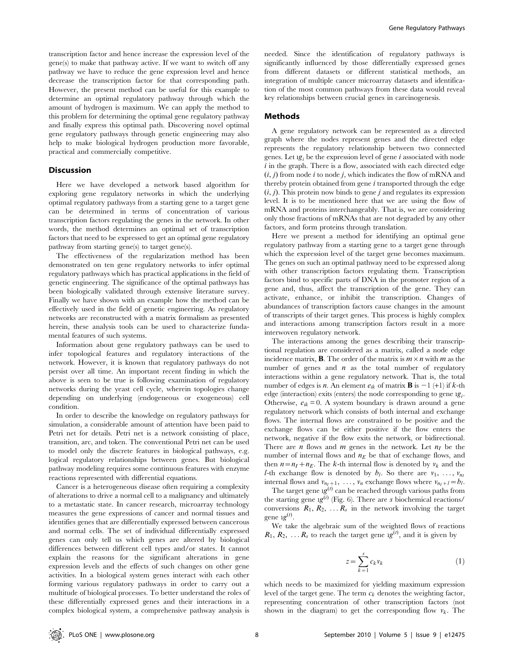transcription factor and hence increase the expression level of the gene(s) to make that pathway active. If we want to switch off any pathway we have to reduce the gene expression level and hence decrease the transcription factor for that corresponding path. However, the present method can be useful for this example to determine an optimal regulatory pathway through which the amount of hydrogen is maximum. We can apply the method to this problem for determining the optimal gene regulatory pathway and finally express this optimal path. Discovering novel optimal gene regulatory pathways through genetic engineering may also help to make biological hydrogen production more favorable, practical and commercially competitive.

## Discussion

Here we have developed a network based algorithm for exploring gene regulatory networks in which the underlying optimal regulatory pathways from a starting gene to a target gene can be determined in terms of concentration of various transcription factors regulating the genes in the network. In other words, the method determines an optimal set of transcription factors that need to be expressed to get an optimal gene regulatory pathway from starting gene(s) to target gene(s).

The effectiveness of the regularization method has been demonstrated on ten gene regulatory networks to infer optimal regulatory pathways which has practical applications in the field of genetic engineering. The significance of the optimal pathways has been biologically validated through extensive literature survey. Finally we have shown with an example how the method can be effectively used in the field of genetic engineering. As regulatory networks are reconstructed with a matrix formalism as presented herein, these analysis tools can be used to characterize fundamental features of such systems.

Information about gene regulatory pathways can be used to infer topological features and regulatory interactions of the network. However, it is known that regulatory pathways do not persist over all time. An important recent finding in which the above is seen to be true is following examination of regulatory networks during the yeast cell cycle, wherein topologies change depending on underlying (endogeneous or exogeneous) cell condition.

In order to describe the knowledge on regulatory pathways for simulation, a considerable amount of attention have been paid to Petri net for details. Petri net is a network consisting of place, transition, arc, and token. The conventional Petri net can be used to model only the discrete features in biological pathways, e.g. logical regulatory relationships between genes. But biological pathway modeling requires some continuous features with enzyme reactions represented with differential equations.

Cancer is a heterogeneous disease often requiring a complexity of alterations to drive a normal cell to a malignancy and ultimately to a metastatic state. In cancer research, microarray technology measures the gene expressions of cancer and normal tissues and identifies genes that are differentially expressed between cancerous and normal cells. The set of individual differentially expressed genes can only tell us which genes are altered by biological differences between different cell types and/or states. It cannot explain the reasons for the significant alterations in gene expression levels and the effects of such changes on other gene activities. In a biological system genes interact with each other forming various regulatory pathways in order to carry out a multitude of biological processes. To better understand the roles of these differentially expressed genes and their interactions in a complex biological system, a comprehensive pathway analysis is needed. Since the identification of regulatory pathways is significantly influenced by those differentially expressed genes from different datasets or different statistical methods, an integration of multiple cancer microarray datasets and identification of the most common pathways from these data would reveal key relationships between crucial genes in carcinogenesis.

#### Methods

A gene regulatory network can be represented as a directed graph where the nodes represent genes and the directed edge represents the regulatory relationship between two connected genes. Let  $\lg_i$  be the expression level of gene i associated with node  $i$  in the graph. There is a flow, associated with each directed edge  $(i, j)$  from node i to node j, which indicates the flow of mRNA and thereby protein obtained from gene  $i$  transported through the edge  $(i, j)$ . This protein now binds to gene j and regulates its expression level. It is to be mentioned here that we are using the flow of mRNA and proteins interchangeably. That is, we are considering only those fractions of mRNAs that are not degraded by any other factors, and form proteins through translation.

Here we present a method for identifying an optimal gene regulatory pathway from a starting gene to a target gene through which the expression level of the target gene becomes maximum. The genes on such an optimal pathway need to be expressed along with other transcription factors regulating them. Transcription factors bind to specific parts of DNA in the promoter region of a gene and, thus, affect the transcription of the gene. They can activate, enhance, or inhibit the transcription. Changes of abundances of transcription factors cause changes in the amount of transcripts of their target genes. This process is highly complex and interactions among transcription factors result in a more interwoven regulatory network.

The interactions among the genes describing their transcriptional regulation are considered as a matrix, called a node edge incidence matrix, **B**. The order of the matrix is  $m \times n$  with m as the number of genes and  $n$  as the total number of regulatory interactions within a gene regulatory network. That is, the total number of edges is *n*. An element  $e_{ik}$  of matrix **B** is  $-1$  (+1) if k-th edge (interaction) exits (enters) the node corresponding to gene  $\lg_i$ . Otherwise,  $e_{ik} = 0$ . A system boundary is drawn around a gene regulatory network which consists of both internal and exchange flows. The internal flows are constrained to be positive and the exchange flows can be either positive if the flow enters the network, negative if the flow exits the network, or bidirectional. There are  $n$  flows and  $m$  genes in the network. Let  $n_I$  be the number of internal flows and  $n_E$  be that of exchange flows, and then  $n=n_I+n_E$ . The k-th internal flow is denoted by  $v_k$  and the *l*-th exchange flow is denoted by  $b_l$ . So there are  $v_1, \ldots, v_{n_l}$ internal flows and  $v_{n_1+1}, \ldots, v_n$  exchange flows where  $v_{n_1+1} = b_l$ .

The target gene  $\lg^{(t)}$  can be reached through various paths from the starting gene  $\lg^{(i)}$  (Fig. 6). There are *s* biochemical reactions/ conversions  $R_1, R_2, \ldots, R_s$  in the network involving the target  $\text{gene } \text{1g}^{(t)}$ .

We take the algebraic sum of the weighted flows of reactions  $R_1, R_2, \ldots R_s$  to reach the target gene  $1g^{(t)}$ , and it is given by

$$
z = \sum_{k=1}^{s} c_k v_k \tag{1}
$$

which needs to be maximized for yielding maximum expression level of the target gene. The term  $c_k$  denotes the weighting factor, representing concentration of other transcription factors (not shown in the diagram) to get the corresponding flow  $v_k$ . The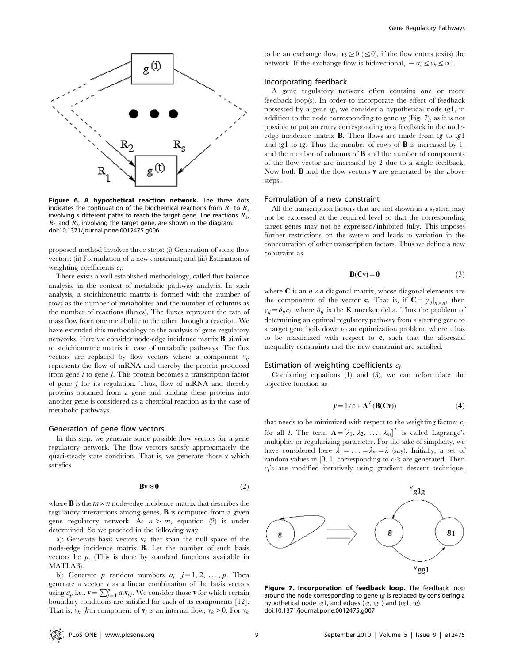

Figure 6. A hypothetical reaction network. The three dots indicates the continuation of the biochemical reactions from  $R_1$  to  $R_2$ involving s different paths to reach the target gene. The reactions  $R_1$ ,  $R_2$  and  $R_{\rm s}$ , involving the target gene, are shown in the diagram. doi:10.1371/journal.pone.0012475.g006

proposed method involves three steps: (i) Generation of some flow vectors; (ii) Formulation of a new constraint; and (iii) Estimation of weighting coefficients  $c_i$ .

There exists a well established methodology, called flux balance analysis, in the context of metabolic pathway analysis. In such analysis, a stoichiometric matrix is formed with the number of rows as the number of metabolites and the number of columns as the number of reactions (fluxes). The fluxes represent the rate of mass flow from one metabolite to the other through a reaction. We have extended this methodology to the analysis of gene regulatory networks. Here we consider node-edge incidence matrix B, similar to stoichiometric matrix in case of metabolic pathways. The flux vectors are replaced by flow vectors where a component  $v_{ij}$ represents the flow of mRNA and thereby the protein produced from gene  $i$  to gene  $j$ . This protein becomes a transcription factor of gene  $j$  for its regulation. Thus, flow of mRNA and thereby proteins obtained from a gene and binding these proteins into another gene is considered as a chemical reaction as in the case of metabolic pathways.

#### Generation of gene flow vectors

In this step, we generate some possible flow vectors for a gene regulatory network. The flow vectors satisfy approximately the quasi-steady state condition. That is, we generate those v which satisfies

$$
\mathbf{B}\mathbf{v} \approx \mathbf{0} \tag{2}
$$

where **B** is the  $m \times n$  node-edge incidence matrix that describes the regulatory interactions among genes. B is computed from a given gene regulatory network. As  $n > m$ , equation (2) is under determined. So we proceed in the following way:

a): Generate basis vectors  $\mathbf{v}_b$  that span the null space of the node-edge incidence matrix B. Let the number of such basis vectors be  $p$ . (This is done by standard functions available in MATLAB).

b): Generate *p* random numbers  $a_j$ ,  $j=1, 2, ..., p$ . Then generate a vector v as a linear combination of the basis vectors using  $a_p$  i.e.,  $\mathbf{v} = \sum_{j=1}^p a_j \mathbf{v}_{bj}$ . We consider those **v** for which certain boundary conditions are satisfied for each of its components [12]. That is,  $v_k$  (kth component of **v**) is an internal flow,  $v_k \geq 0$ . For  $v_k$ 

to be an exchange flow,  $v_k \geq 0$  ( $\leq 0$ ), if the flow enters (exits) the network. If the exchange flow is bidirectional,  $-\infty \le v_k \le \infty$ .

## Incorporating feedback

A gene regulatory network often contains one or more feedback loop(s). In order to incorporate the effect of feedback possessed by a gene 1g, we consider a hypothetical node 1g1, in addition to the node corresponding to gene  $1g$  (Fig. 7), as it is not possible to put an entry corresponding to a feedback in the nodeedge incidence matrix  $\bf{B}$ . Then flows are made from 1g to 1g1 and 1g1 to 1g. Thus the number of rows of  $\bf{B}$  is increased by 1, and the number of columns of B and the number of components of the flow vector are increased by 2 due to a single feedback. Now both  $\bf{B}$  and the flow vectors  $\bf{v}$  are generated by the above steps.

#### Formulation of a new constraint

All the transcription factors that are not shown in a system may not be expressed at the required level so that the corresponding target genes may not be expressed/inhibited fully. This imposes further restrictions on the system and leads to variation in the concentration of other transcription factors. Thus we define a new constraint as

$$
B(Cv) = 0 \tag{3}
$$

where  $C$  is an  $n \times n$  diagonal matrix, whose diagonal elements are the components of the vector **c**. That is, if  $\mathbf{C} = [\gamma_{ij}]_{n \times n}$ , then  $\gamma_{ii} = \delta_{ii}c_i$ , where  $\delta_{ii}$  is the Kronecker delta. Thus the problem of determining an optimal regulatory pathway from a starting gene to a target gene boils down to an optimization problem, where z has to be maximized with respect to c, such that the aforesaid inequality constraints and the new constraint are satisfied.

## Estimation of weighting coefficients  $c_i$

Combining equations (1) and (3), we can reformulate the objective function as

$$
y = 1/z + \mathbf{\Lambda}^T(\mathbf{B(Cv)})
$$
 (4)

that needs to be minimized with respect to the weighting factors  $c_i$ for all *i*. The term  $\mathbf{\Lambda} = [\lambda_1, \lambda_2, \ldots, \lambda_m]^T$  is called Lagrange's multiplier or regularizing parameter. For the sake of simplicity, we have considered here  $\lambda_1 = \ldots = \lambda_m = \lambda$  (say). Initially, a set of random values in [0, 1] corresponding to  $c_i$ 's are generated. Then  $c_i$ 's are modified iteratively using gradient descent technique,



Figure 7. Incorporation of feedback loop. The feedback loop around the node corresponding to gene  $1g$  is replaced by considering a hypothetical node  $\lg 1$ , and edges ( $\lg$ ,  $\lg 1$ ) and ( $\lg 1$ ,  $\lg 1$ ). doi:10.1371/journal.pone.0012475.g007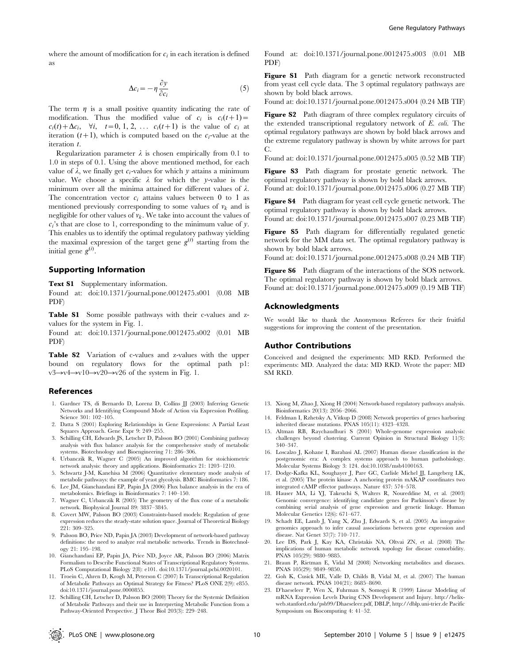where the amount of modification for  $c_i$  in each iteration is defined as

$$
\Delta c_i = -\eta \frac{\partial y}{\partial c_i} \tag{5}
$$

The term  $\eta$  is a small positive quantity indicating the rate of modification. Thus the modified value of  $c_i$  is  $c_i(t+1)$ =  $c_i(t) + \Delta c_i$ ,  $\forall i$ ,  $t=0, 1, 2, \ldots$   $c_i(t+1)$  is the value of  $c_i$  at iteration  $(t+1)$ , which is computed based on the  $c_i$ -value at the iteration t.

Regularization parameter  $\lambda$  is chosen empirically from 0.1 to 1.0 in steps of 0.1. Using the above mentioned method, for each value of  $\lambda$ , we finally get  $c_i$ -values for which y attains a minimum value. We choose a specific  $\lambda$  for which the y-value is the minimum over all the minima attained for different values of  $\lambda$ . The concentration vector  $c_i$  attains values between 0 to 1 as mentioned previously corresponding to some values of  $v_k$  and is negligible for other values of  $v_k$ . We take into account the values of  $c_i$ 's that are close to 1, corresponding to the minimum value of y. This enables us to identify the optimal regulatory pathway yielding the maximal expression of the target gene  $g^{(t)}$  starting from the initial gene  $g^{(i)}$ .

## Supporting Information

Text S1 Supplementary information.

Found at: doi:10.1371/journal.pone.0012475.s001 (0.08 MB PDF)

Table S1 Some possible pathways with their c-values and zvalues for the system in Fig. 1.

Found at: doi:10.1371/journal.pone.0012475.s002 (0.01 MB PDF)

Table S2 Variation of c-values and z-values with the upper bound on regulatory flows for the optimal path p1:  $v3\rightarrow v4\rightarrow v10\rightarrow v20\rightarrow v26$  of the system in Fig. 1.

#### References

- 1. Gardner TS, di Bernardo D, Lorenz D, Collins JJ (2003) Inferring Genetic Networks and Identifying Compound Mode of Action via Expression Profiling. Science 301: 102–105.
- 2. Datta S (2001) Exploring Relationships in Gene Expressions: A Partial Least Squares Approach. Gene Expr 9: 249–255.
- 3. Schilling CH, Edwards JS, Letscher D, Palsson BO (2001) Combining pathway analysis with flux balance analysis for the comprehensive study of metabolic systems. Biotechnology and Bioengineering 71: 286–306.
- 4. Urbanczik R, Wagner C (2005) An improved algorithm for stoichiometric network analysis: theory and applications. Bioinformatics 21: 1203–1210.
- 5. Schwartz J-M, Kanehisa M (2006) Quantitative elementary mode analysis of metabolic pathways: the example of yeast glycolysis. BMC Bioinformatics 7: 186.
- 6. Lee JM, Gianchandani EP, Papin JA (2006) Flux balance analysis in the era of metabolomics. Briefings in Bioinformatics 7: 140–150.
- 7. Wagner C, Urbanczik R (2005) The geometry of the flux cone of a metabolic network. Biophysical Journal 89: 3837–3845.
- 8. Covert MW, Palsson BO (2003) Constraints-based models: Regulation of gene expression reduces the steady-state solution space. Journal of Theoretical Biology 221: 309–325.
- 9. Palsson BO, Price ND, Papin JA (2003) Development of network-based pathway definitions: the need to analyze real metabolic networks. Trends in Biotechnology 21: 195–198.
- 10. Gianchandani EP, Papin JA, Price ND, Joyce AR, Palsson BO (2006) Matrix Formalism to Describe Functional States of Transcriptional Regulatory Systems. PLoS Computational Biology 2(8): e101. doi:10.1371/journal.pcbi.0020101.
- 11. Troein C, Ahren D, Krogh M, Peterson C (2007) Is Transcriptional Regulation of Metabolic Pathways an Optimal Strategy for Fitness? PLoS ONE 2(9): e855. doi:10.1371/journal.pone.0000855.
- 12. Schilling CH, Letscher D, Palsson BO (2000) Theory for the Systemic Definition of Metabolic Pathways and their use in Interpreting Metabolic Function from a Pathway-Oriented Perspective. J Theor Biol 203(3): 229–248.

Found at: doi:10.1371/journal.pone.0012475.s003 (0.01 MB PDF)

Figure S1 Path diagram for a genetic network reconstructed from yeast cell cycle data. The 3 optimal regulatory pathways are shown by bold black arrows.

Found at: doi:10.1371/journal.pone.0012475.s004 (0.24 MB TIF)

Figure S2 Path diagram of three complex regulatory circuits of the extended transcriptional regulatory network of E. coli. The optimal regulatory pathways are shown by bold black arrows and the extreme regulatory pathway is shown by white arrows for part C.

Found at: doi:10.1371/journal.pone.0012475.s005 (0.52 MB TIF)

Figure S3 Path diagram for prostate genetic network. The optimal regulatory pathway is shown by bold black arrows. Found at: doi:10.1371/journal.pone.0012475.s006 (0.27 MB TIF)

Figure S4 Path diagram for yeast cell cycle genetic network. The optimal regulatory pathway is shown by bold black arrows.

Found at: doi:10.1371/journal.pone.0012475.s007 (0.23 MB TIF)

Figure S5 Path diagram for differentially regulated genetic network for the MM data set. The optimal regulatory pathway is shown by bold black arrows.

Found at: doi:10.1371/journal.pone.0012475.s008 (0.24 MB TIF)

Figure S6 Path diagram of the interactions of the SOS network. The optimal regulatory pathway is shown by bold black arrows. Found at: doi:10.1371/journal.pone.0012475.s009 (0.19 MB TIF)

## Acknowledgments

We would like to thank the Anonymous Referees for their fruitful suggestions for improving the content of the presentation.

#### Author Contributions

Conceived and designed the experiments: MD RKD. Performed the experiments: MD. Analyzed the data: MD RKD. Wrote the paper: MD SM RKD.

- 13. Xiong M, Zhao J, Xiong H (2004) Network-based regulatory pathways analysis. Bioinformatics 20(13): 2056–2066.
- 14. Feldman I, Rzhetsky A, Vitkup D (2008) Network properties of genes harboring inherited disease mutations. PNAS 105(11): 4323–4328.
- 15. Altman RB, Raychaudhuri S (2001) Whole-genome expression analysis: challenges beyond clustering. Current Opinion in Structural Biology 11(3): 340–347.
- 16. Loscalzo J, Kohane I, Barabasi AL (2007) Human disease classification in the postgenomic era: A complex systems approach to human pathobiology. Molecular Systems Biology 3: 124. doi:10.1038/msb4100163.
- 17. Dodge-Kafka KL, Soughayer J, Pare GC, Carlisle Michel JJ, Langeberg LK, et al. (2005) The protein kinase A anchoring protein mAKAP coordinates two integrated cAMP effector pathways. Nature 437: 574–578.
- 18. Hauser MA, Li YJ, Takeuchi S, Walters R, Noureddine M, et al. (2003) Genomic convergence: identifying candidate genes for Parkinson's disease by combining serial analysis of gene expression and genetic linkage. Human Molecular Genetics 12(6): 671–677.
- 19. Schadt EE, Lamb J, Yang X, Zhu J, Edwards S, et al. (2005) An integrative genomics approach to infer causal associations between gene expression and disease. Nat Genet 37(7): 710–717.
- 20. Lee DS, Park J, Kay KA, Christakis NA, Oltvai ZN, et al. (2008) The implications of human metabolic network topology for disease comorbidity. PNAS 105(29): 9880–9885.
- 21. Braun P, Rietman E, Vidal M (2008) Networking metabolites and diseases. PNAS 105(29): 9849–9850.
- 22. Goh K, Cusick ME, Valle D, Childs B, Vidal M, et al. (2007) The human disease network. PNAS 104(21): 8685–8690.
- 23. D'haeseleer P, Wen X, Fuhrman S, Somogyi R (1999) Linear Modeling of mRNA Expression Levels During CNS Development and Injury. http://helixweb.stanford.edu/psb99/Dhaeseleer.pdf, DBLP, http://dblp.uni-trier.de Pacific Symposium on Biocomputing 4: 41–52.